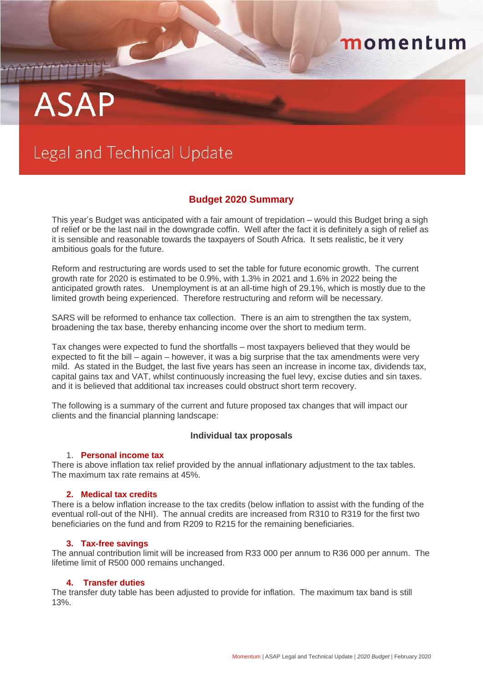# **ASAP**

## Legal and Technical Update

### **Budget 2020 Summary**

momentum

This year's Budget was anticipated with a fair amount of trepidation – would this Budget bring a sigh of relief or be the last nail in the downgrade coffin. Well after the fact it is definitely a sigh of relief as it is sensible and reasonable towards the taxpayers of South Africa. It sets realistic, be it very ambitious goals for the future.

Reform and restructuring are words used to set the table for future economic growth. The current growth rate for 2020 is estimated to be 0.9%, with 1.3% in 2021 and 1.6% in 2022 being the anticipated growth rates. Unemployment is at an all-time high of 29.1%, which is mostly due to the limited growth being experienced. Therefore restructuring and reform will be necessary.

SARS will be reformed to enhance tax collection. There is an aim to strengthen the tax system, broadening the tax base, thereby enhancing income over the short to medium term.

Tax changes were expected to fund the shortfalls – most taxpayers believed that they would be expected to fit the bill – again – however, it was a big surprise that the tax amendments were very mild. As stated in the Budget, the last five years has seen an increase in income tax, dividends tax, capital gains tax and VAT, whilst continuously increasing the fuel levy, excise duties and sin taxes. and it is believed that additional tax increases could obstruct short term recovery.

The following is a summary of the current and future proposed tax changes that will impact our clients and the financial planning landscape:

#### **Individual tax proposals**

#### 1. **Personal income tax**

There is above inflation tax relief provided by the annual inflationary adjustment to the tax tables. The maximum tax rate remains at 45%.

#### **2. Medical tax credits**

There is a below inflation increase to the tax credits (below inflation to assist with the funding of the eventual roll-out of the NHI). The annual credits are increased from R310 to R319 for the first two beneficiaries on the fund and from R209 to R215 for the remaining beneficiaries.

#### **3. Tax-free savings**

The annual contribution limit will be increased from R33 000 per annum to R36 000 per annum. The lifetime limit of R500 000 remains unchanged.

#### **4. Transfer duties**

The transfer duty table has been adjusted to provide for inflation. The maximum tax band is still 13%.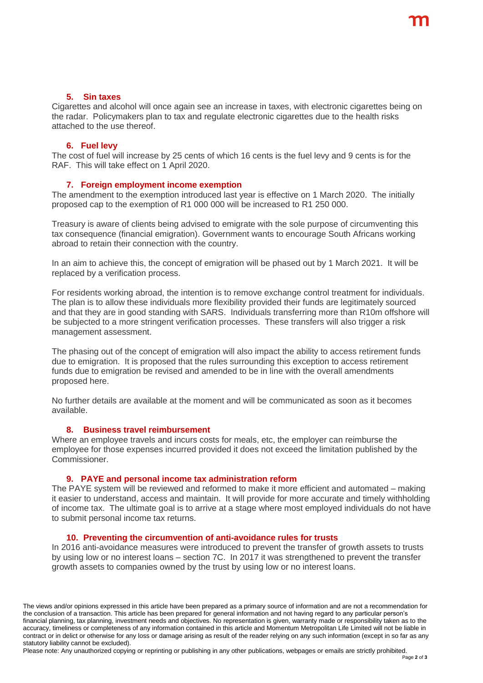#### **5. Sin taxes**

Cigarettes and alcohol will once again see an increase in taxes, with electronic cigarettes being on the radar. Policymakers plan to tax and regulate electronic cigarettes due to the health risks attached to the use thereof.

#### **6. Fuel levy**

The cost of fuel will increase by 25 cents of which 16 cents is the fuel levy and 9 cents is for the RAF. This will take effect on 1 April 2020.

#### **7. Foreign employment income exemption**

The amendment to the exemption introduced last year is effective on 1 March 2020. The initially proposed cap to the exemption of R1 000 000 will be increased to R1 250 000.

Treasury is aware of clients being advised to emigrate with the sole purpose of circumventing this tax consequence (financial emigration). Government wants to encourage South Africans working abroad to retain their connection with the country.

In an aim to achieve this, the concept of emigration will be phased out by 1 March 2021. It will be replaced by a verification process.

For residents working abroad, the intention is to remove exchange control treatment for individuals. The plan is to allow these individuals more flexibility provided their funds are legitimately sourced and that they are in good standing with SARS. Individuals transferring more than R10m offshore will be subjected to a more stringent verification processes. These transfers will also trigger a risk management assessment.

The phasing out of the concept of emigration will also impact the ability to access retirement funds due to emigration. It is proposed that the rules surrounding this exception to access retirement funds due to emigration be revised and amended to be in line with the overall amendments proposed here.

No further details are available at the moment and will be communicated as soon as it becomes available.

#### **8. Business travel reimbursement**

Where an employee travels and incurs costs for meals, etc, the employer can reimburse the employee for those expenses incurred provided it does not exceed the limitation published by the Commissioner.

#### **9. PAYE and personal income tax administration reform**

The PAYE system will be reviewed and reformed to make it more efficient and automated – making it easier to understand, access and maintain. It will provide for more accurate and timely withholding of income tax. The ultimate goal is to arrive at a stage where most employed individuals do not have to submit personal income tax returns.

#### **10. Preventing the circumvention of anti-avoidance rules for trusts**

In 2016 anti-avoidance measures were introduced to prevent the transfer of growth assets to trusts by using low or no interest loans – section 7C. In 2017 it was strengthened to prevent the transfer growth assets to companies owned by the trust by using low or no interest loans.

The views and/or opinions expressed in this article have been prepared as a primary source of information and are not a recommendation for the conclusion of a transaction. This article has been prepared for general information and not having regard to any particular person's financial planning, tax planning, investment needs and objectives. No representation is given, warranty made or responsibility taken as to the accuracy, timeliness or completeness of any information contained in this article and Momentum Metropolitan Life Limited will not be liable in contract or in delict or otherwise for any loss or damage arising as result of the reader relying on any such information (except in so far as any statutory liability cannot be excluded).

Please note: Any unauthorized copying or reprinting or publishing in any other publications, webpages or emails are strictly prohibited.